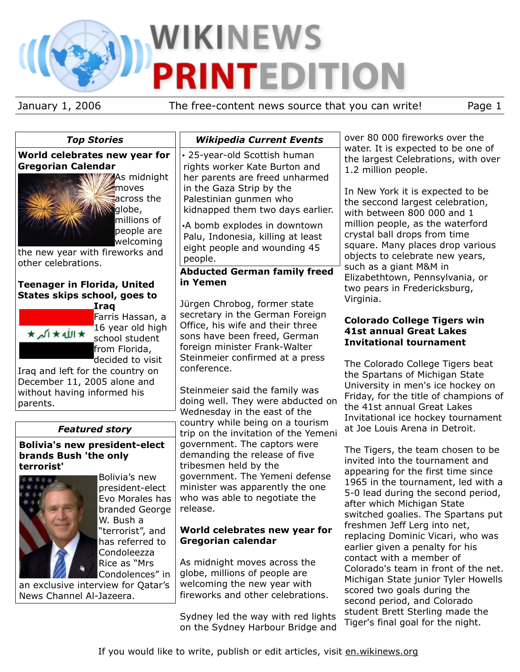# **WIKINEWS PRINTEDITION**

January 1, 2006 The free-content news source that you can write! Page 1

*Top Stories* **World celebrates new year for**



**As midnight** moves **across the S**globe, millions of people are welcoming

the new year with fireworks and other celebrations.

#### **Teenager in Florida, United States skips school, goes to Iraq**



Farris Hassan, a 16 year old high school student from Florida, decided to visit

Iraq and left for the country on December 11, 2005 alone and without having informed his parents.

# *Featured story*

#### **Bolivia's new president-elect brands Bush 'the only terrorist'**



Bolivia's new president-elect Evo Morales has branded George W. Bush a "terrorist", and has referred to Condoleezza Rice as "Mrs Condolences" in

an exclusive interview for Qatar's News Channel Al-Jazeera.

# *Wikipedia Current Events*

• 25-year-old Scottish human rights worker Kate Burton and her parents are freed unharmed in the Gaza Strip by the Palestinian gunmen who kidnapped them two days earlier.

•A bomb explodes in downtown Palu, Indonesia, killing at least eight people and wounding 45 people.

# **Abducted German family freed in Yemen**

Jürgen Chrobog, former state secretary in the German Foreign Office, his wife and their three sons have been freed, German foreign minister Frank-Walter Steinmeier confirmed at a press conference.

Steinmeier said the family was doing well. They were abducted on Wednesday in the east of the country while being on a tourism trip on the invitation of the Yemeni government. The captors were demanding the release of five tribesmen held by the government. The Yemeni defense minister was apparently the one who was able to negotiate the release.

# **World celebrates new year for Gregorian calendar**

As midnight moves across the globe, millions of people are welcoming the new year with fireworks and other celebrations.

Sydney led the way with red lights on the Sydney Harbour Bridge and over 80 000 fireworks over the water. It is expected to be one of the largest Celebrations, with over 1.2 million people.

In New York it is expected to be the seccond largest celebration, with between 800 000 and 1 million people, as the waterford crystal ball drops from time square. Many places drop various objects to celebrate new years, such as a giant M&M in Elizabethtown, Pennsylvania, or two pears in Fredericksburg, Virginia.

# **Colorado College Tigers win 41st annual Great Lakes Invitational tournament**

The Colorado College Tigers beat the Spartans of Michigan State University in men's ice hockey on Friday, for the title of champions of the 41st annual Great Lakes Invitational ice hockey tournament at Joe Louis Arena in Detroit.

The Tigers, the team chosen to be invited into the tournament and appearing for the first time since 1965 in the tournament, led with a 5-0 lead during the second period, after which Michigan State switched goalies. The Spartans put freshmen Jeff Lerg into net, replacing Dominic Vicari, who was earlier given a penalty for his contact with a member of Colorado's team in front of the net. Michigan State junior Tyler Howells scored two goals during the second period, and Colorado student Brett Sterling made the Tiger's final goal for the night.